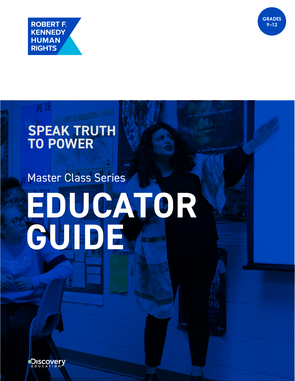

PE CE



# **SPEAK TRUTH TO POWER**

# Master Class Series **EDUCATOR GUIDE**

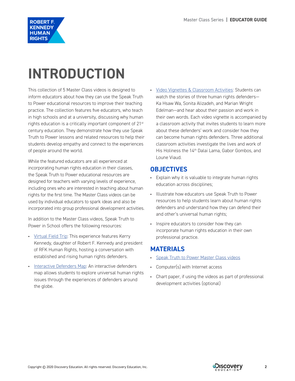

# **INTRODUCTION**

This collection of 5 Master Class videos is designed to inform educators about how they can use the Speak Truth to Power educational resources to improve their teaching practice. The collection features five educators, who teach in high schools and at a university, discussing why human rights education is a critically important component of 21<sup>st</sup> century education. They demonstrate how they use Speak Truth to Power lessons and related resources to help their students develop empathy and connect to the experiences of people around the world.

While the featured educators are all experienced at incorporating human rights education in their classes, the Speak Truth to Power educational resources are designed for teachers with varying levels of experience, including ones who are interested in teaching about human rights for the first time. The Master Class videos can be used by individual educators to spark ideas and also be incorporated into group professional development activities.

In addition to the Master Class videos, Speak Truth to Power in School offers the following resources:

- [Virtual Field Trip:](https://www.speaktruthtopowerinschool.com/vft) This experience features Kerry Kennedy, daughter of Robert F. Kennedy and president of RFK Human Rights, hosting a conversation with established and rising human rights defenders.
- [Interactive Defenders Map:](https://www.speaktruthtopowerinschool.com/sites/default/files/interactive-map/) An interactive defenders map allows students to explore universal human rights issues through the experiences of defenders around the globe.

• [Video Vignettes & Classroom Activities:](https://www.speaktruthtopowerinschool.com/classroom-resources#defenders) Students can watch the stories of three human rights defenders— Ka Hsaw Wa, Sonita Alizadeh, and Marian Wright Edelman—and hear about their passion and work in their own words. Each video vignette is accompanied by a classroom activity that invites students to learn more about these defenders' work and consider how they can become human rights defenders. Three additional classroom activities investigate the lives and work of His Holiness the 14th Dalai Lama, Gabor Gombos, and Loune Viaud.

## **OBJECTIVES**

- Explain why it is valuable to integrate human rights education across disciplines;
- Illustrate how educators use Speak Truth to Power resources to help students learn about human rights defenders and understand how they can defend their and other's universal human rights;
- Inspire educators to consider how they can incorporate human rights education in their own professional practice.

### **MATERIALS**

- [Speak Truth to Power Master Class videos](https://www.speaktruthtopowerinschool.com/educator-resources)
- Computer(s) with Internet access
- Chart paper, if using the videos as part of professional development activities (optional)

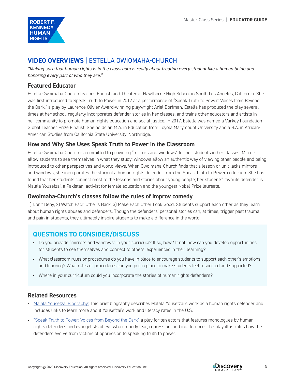

# **VIDEO OVERVIEWS** | ESTELLA OWIOMAHA-CHURCH

*"Making sure that human rights is in the classroom is really about treating every student like a human being and honoring every part of who they are."*

#### **Featured Educator**

Estella Owoimaha-Church teaches English and Theater at Hawthorne High School in South Los Angeles, California. She was first introduced to Speak Truth to Power in 2012 at a performance of "Speak Truth to Power: Voices from Beyond the Dark," a play by Laurence Olivier Award-winning playwright Ariel Dorfman. Estella has produced the play several times at her school, regularly incorporates defender stories in her classes, and trains other educators and artists in her community to promote human rights education and social justice. In 2017, Estella was named a Varkey Foundation Global Teacher Prize Finalist. She holds an M.A. in Education from Loyola Marymount University and a B.A. in African-American Studies from California State University, Northridge.

#### **How and Why She Uses Speak Truth to Power in the Classroom**

Estella Owoimaha-Church is committed to providing "mirrors and windows" for her students in her classes. Mirrors allow students to see themselves in what they study; windows allow an authentic way of viewing other people and being introduced to other perspectives and world views. When Owoimaha-Church finds that a lesson or unit lacks mirrors and windows, she incorporates the story of a human rights defender from the Speak Truth to Power collection. She has found that her students connect most to the lessons and stories about young people; her students' favorite defender is Malala Yousefzai, a Pakistani activist for female education and the youngest Nobel Prize laureate.

#### **Owoimaha-Church's classes follow the rules of improv comedy**

1) Don't Deny, 2) Watch Each Other's Back, 3) Make Each Other Look Good. Students support each other as they learn about human rights abuses and defenders. Though the defenders' personal stories can, at times, trigger past trauma and pain in students, they ultimately inspire students to make a difference in the world.

# **QUESTIONS TO CONSIDER/DISCUSS**

- Do you provide "mirrors and windows" in your curricula? If so, how? If not, how can you develop opportunities for students to see themselves and connect to others' experiences in their learning?
- What classroom rules or procedures do you have in place to encourage students to support each other's emotions and learning? What rules or procedures can you put in place to make students feel respected and supported?
- Where in your curriculum could you incorporate the stories of human rights defenders?

#### **Related Resources**

- [Malala Yousefzai Biography:](https://www.speaktruthtopowerinschool.com/defenders-map/malala-yousafzai) This brief biography describes Malala Yousefzai's work as a human rights defender and includes links to learn more about Yousefzai's work and literacy rates in the U.S.
- ["Speak Truth to Power: Voices from Beyond the Dark"](https://rfkhumanrights.org/work/teaching-human-rights/the-play) a play for ten actors that features monologues by human rights defenders and evangelists of evil who embody fear, repression, and indifference. The play illustrates how the defenders evolve from victims of oppression to speaking truth to power.

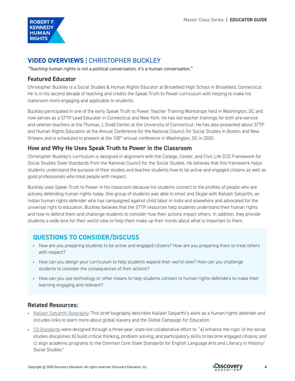

# **VIDEO OVERVIEWS** | CHRISTOPHER BUCKLEY

*"Teaching human rights is not a political conversation, it's a human conversation."*

#### **Featured Educator**

Christopher Buckley is a Social Studies & Human Rights Educator at Brookfield High School in Brookfield, Connecticut. He is in his second decade of teaching and credits the Speak Truth to Power curriculum with helping to make his classroom more engaging and applicable to students.

Buckley participated in one of the early Speak Truth to Power Teacher Training Workshops held in Washington, DC and now serves as a STTP Lead Educator in Connecticut and New York. He has led teacher trainings for both pre-service and veteran teachers at the Thomas J. Dodd Center at the University of Connecticut. He has also presented about STTP and Human Rights Education at the Annual Conference for the National Council for Social Studies in Boston and New Orleans and is scheduled to present at the 100<sup>th</sup> annual conference in Washington, DC in 2020.

#### **How and Why He Uses Speak Truth to Power in the Classroom**

Christopher Buckley's curriculum is designed in alignment with the College, Career, and Civic Life (C3) Framework for Social Studies State Standards from the National Council for the Social Studies. He believes that this framework helps students understand the purpose of their studies and teaches students how to be active and engaged citizens as well as good professionals who treat people with respect.

Buckley uses Speak Truth to Power in his classroom because his students connect to the profiles of people who are actively defending human rights today. One group of students was able to email and Skype with Kailash Satyarthi, an Indian human rights defender who has campaigned against child labor in India and elsewhere and advocated for the universal right to education. Buckley believes that the STTP resources help students understand their human rights and how to defend them and challenge students to consider how their actions impact others. In addition, they provide students a wide lens for their world view to help them make up their minds about what is important to them.

## **QUESTIONS TO CONSIDER/DISCUSS**

- How are you preparing students to be active and engaged citizens? How are you preparing them to treat others with respect?
- How can you design your curriculum to help students expand their world view? How can you challenge students to consider the consequences of their actions?
- How can you use technology or other means to help students connect to human rights defenders to make their learning engaging and relevant?

#### **Related Resources:**

- [Kailash Satyarthi Biography](https://www.speaktruthtopowerinschool.com/defenders-map/kailash-satyarthi): This brief biography describes Kailash Satyarthi's work as a human rights defender and includes links to learn more about global slavery and the Global Campaign for Education.
- [C3 Standards](https://www.socialstudies.org/c3) were designed through a three-year, state-led collaborative effort to: "a) enhance the rigor of the social studies disciplines; b) build critical thinking, problem solving, and participatory skills to become engaged citizens; and c) align academic programs to the Common Core State Standards for English Language Arts and Literacy in History/ Social Studies."

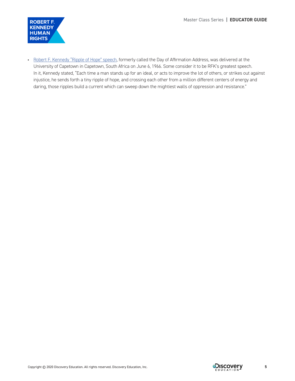

• [Robert F. Kennedy "Ripple of Hope" speech](https://www.jfklibrary.org/learn/about-jfk/the-kennedy-family/robert-f-kennedy/robert-f-kennedy-speeches/day-of-affirmation-address-university-of-capetown-capetown-south-africa-june-6-1966), formerly called the Day of Affirmation Address, was delivered at the University of Capetown in Capetown, South Africa on June 6, 1966. Some consider it to be RFK's greatest speech. In it, Kennedy stated, "Each time a man stands up for an ideal, or acts to improve the lot of others, or strikes out against injustice, he sends forth a tiny ripple of hope, and crossing each other from a million different centers of energy and daring, those ripples build a current which can sweep down the mightiest walls of oppression and resistance."

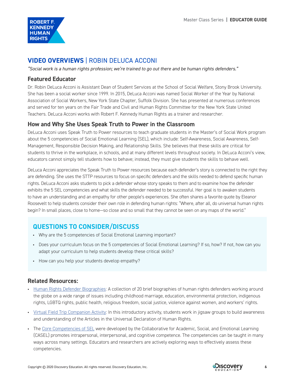

# **VIDEO OVERVIEWS** | ROBIN DELUCA ACCONI

*"Social work is a human rights profession; we're trained to go out there and be human rights defenders."*

#### **Featured Educator**

Dr. Robin DeLuca Acconi is Assistant Dean of Student Services at the School of Social Welfare, Stony Brook University. She has been a social worker since 1999. In 2015, DeLuca Acconi was named Social Worker of the Year by National Association of Social Workers, New York State Chapter, Suffolk Division. She has presented at numerous conferences and served for ten years on the Fair Trade and Civil and Human Rights Committee for the New York State United Teachers. DeLuca Acconi works with Robert F. Kennedy Human Rights as a trainer and researcher.

#### **How and Why She Uses Speak Truth to Power in the Classroom**

DeLuca Acconi uses Speak Truth to Power resources to teach graduate students in the Master's of Social Work program about the 5 competencies of Social Emotional Learning (SEL), which include: Self-Awareness, Social Awareness, Self-Management, Responsible Decision Making, and Relationship Skills. She believes that these skills are critical for students to thrive in the workplace, in schools, and at many different levels throughout society. In DeLuca Acconi's view, educators cannot simply tell students how to behave; instead, they must give students the skills to behave well.

DeLuca Acconi appreciates the Speak Truth to Power resources because each defender's story is connected to the right they are defending. She uses the STTP resources to focus on specific defenders and the skills needed to defend specific human rights. DeLuca Acconi asks students to pick a defender whose story speaks to them and to examine how the defender exhibits the 5 SEL competencies and what skills the defender needed to be successful. Her goal is to awaken students to have an understanding and an empathy for other people's experiences. She often shares a favorite quote by Eleanor Roosevelt to help students consider their own role in defending human rights: "Where, after all, do universal human rights begin? In small places, close to home—so close and so small that they cannot be seen on any maps of the world."

# **QUESTIONS TO CONSIDER/DISCUSS**

- Why are the 5 competencies of Social Emotional Learning important?
- Does your curriculum focus on the 5 competencies of Social Emotional Learning? If so, how? If not, how can you adapt your curriculum to help students develop these critical skills?
- How can you help your students develop empathy?

#### **Related Resources:**

- [Human Rights Defender Biographies:](https://www.speaktruthtopowerinschool.com/defenders-map) A collection of 20 brief biographies of human rights defenders working around the globe on a wide range of issues including childhood marriage, education, environmental protection, indigenous rights, LGBTQ rights, public health, religious freedom, social justice, violence against women, and workers' rights.
- [Virtual Field Trip Companion Activity](https://www.speaktruthtopowerinschool.com/sites/default/files/activities/RFK-VFT-Activity.pdf): In this introductory activity, students work in jigsaw groups to build awareness and understanding of the Articles in the Universal Declaration of Human Rights.
- The [Core Competencies of SEL](https://casel.org/core-competencies/) were developed by the Collaborative for Academic, Social, and Emotional Learning (CASEL) promotes intrapersonal, interpersonal, and cognitive competence. The competencies can be taught in many ways across many settings. Educators and researchers are actively exploring ways to effectively assess these competencies.

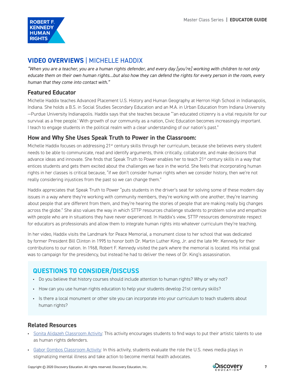

# **VIDEO OVERVIEWS** | MICHELLE HADDIX

*"When you are a teacher, you are a human rights defender, and every day [you're] working with children to not only educate them on their own human rights…but also how they can defend the rights for every person in the room, every human that they come into contact with."* 

#### **Featured Educator**

Michelle Haddix teaches Advanced Placement U.S. History and Human Geography at Herron High School in Indianapolis, Indiana. She holds a B.S. in Social Studies Secondary Education and an M.A. in Urban Education from Indiana University —Purdue University Indianapolis. Haddix says that she teaches because "'an educated citizenry is a vital requisite for our survival as a free people.' With growth of our community as a nation, Civic Education becomes increasingly important. I teach to engage students in the political realm with a clear understanding of our nation's past."

#### **How and Why She Uses Speak Truth to Power in the Classroom:**

Michelle Haddix focuses on addressing 21<sup>st</sup> century skills through her curriculum, because she believes every student needs to be able to communicate, read and identify arguments, think critically, collaborate, and make decisions that advance ideas and innovate. She finds that Speak Truth to Power enables her to teach 21<sup>st</sup> century skills in a way that entices students and gets them excited about the challenges we face in the world. She feels that incorporating human rights in her classes is critical because, "if we don't consider human rights when we consider history, then we're not really considering injustices from the past so we can change them."

Haddix appreciates that Speak Truth to Power "puts students in the driver's seat for solving some of these modern day issues in a way where they're working with community members, they're working with one another, they're learning about people that are different from them, and they're hearing the stories of people that are making really big changes across the globe." She also values the way in which STTP resources challenge students to problem solve and empathize with people who are in situations they have never experienced. In Haddix's view, STTP resources demonstrate respect for educators as professionals and allow them to integrate human rights into whatever curriculum they're teaching.

In her video, Haddix visits the Landmark for Peace Memorial, a monument close to her school that was dedicated by former President Bill Clinton in 1995 to honor both Dr. Martin Luther King, Jr. and the late Mr. Kennedy for their contributions to our nation. In 1968, Robert F. Kennedy visited the park where the memorial is located. His initial goal was to campaign for the presidency, but instead he had to deliver the news of Dr. King's assassination.

# **QUESTIONS TO CONSIDER/DISCUSS**

- Do you believe that history courses should include attention to human rights? Why or why not?
- How can you use human rights education to help your students develop 21st century skills?
- Is there a local monument or other site you can incorporate into your curriculum to teach students about human rights?

#### **Related Resources**

- [Sonita Alidazeh Classroom Activity](https://www.speaktruthtopowerinschool.com/sites/default/files/activities/video_vignette-Sonita.pdf): This activity encourages students to find ways to put their artistic talents to use as human rights defenders.
- [Gabor Gombos Classroom Activity:](https://www.speaktruthtopowerinschool.com/themes/rfk/prod/img/RFK-Classroom-Activity-Gabor_Gombos.pdf) In this activity, students evaluate the role the U.S. news media plays in stigmatizing mental illness and take action to become mental health advocates.

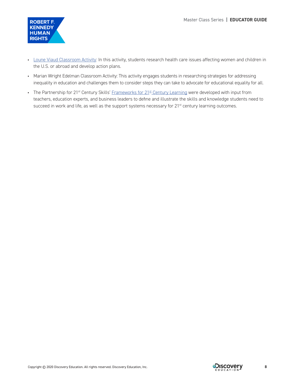

- [Loune Viaud Classroom Activity:](https://www.speaktruthtopowerinschool.com/themes/rfk/prod/img/RFK-Classroom-Activity-Loune_Viaud.pdf) In this activity, students research health care issues affecting women and children in the U.S. or abroad and develop action plans.
- Marian Wright Edelman Classroom Activity: This activity engages students in researching strategies for addressing inequality in education and challenges them to consider steps they can take to advocate for educational equality for all.
- The Partnership for 21<sup>st</sup> Century Skills' Frameworks for 21<sup>st</sup> Century Learning were developed with input from teachers, education experts, and business leaders to define and illustrate the skills and knowledge students need to succeed in work and life, as well as the support systems necessary for 21<sup>st</sup> century learning outcomes.

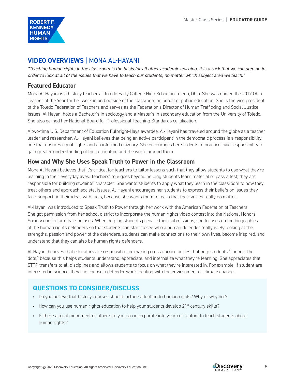

# **VIDEO OVERVIEWS** | MONA AL-HAYANI

*"Teaching human rights in the classroom is the basis for all other academic learning. It is a rock that we can step on in order to look at all of the issues that we have to teach our students, no matter which subject area we teach."*

#### **Featured Educator**

Mona Al-Hayani is a history teacher at Toledo Early College High School in Toledo, Ohio. She was named the 2019 Ohio Teacher of the Year for her work in and outside of the classroom on behalf of public education. She is the vice president of the Toledo Federation of Teachers and serves as the Federation's Director of Human Trafficking and Social Justice Issues. Al-Hayani holds a Bachelor's in sociology and a Master's in secondary education from the University of Toledo. She also earned her National Board for Professional Teaching Standards certification.

A two-time U.S. Department of Education Fulbright-Hays awardee, Al-Hayani has traveled around the globe as a teacher leader and researcher. Al-Hayani believes that being an active participant in the democratic process is a responsibility, one that ensures equal rights and an informed citizenry. She encourages her students to practice civic responsibility to gain greater understanding of the curriculum and the world around them.

#### **How and Why She Uses Speak Truth to Power in the Classroom**

Mona Al-Hayani believes that it's critical for teachers to tailor lessons such that they allow students to use what they're learning in their everyday lives. Teachers' role goes beyond helping students learn material or pass a test; they are responsible for building students' character. She wants students to apply what they learn in the classroom to how they treat others and approach societal issues. Al-Hayani encourages her students to express their beliefs on issues they face, supporting their ideas with facts, because she wants them to learn that their voices really do matter.

Al-Hayani was introduced to Speak Truth to Power through her work with the American Federation of Teachers. She got permission from her school district to incorporate the human rights video contest into the National Honors Society curriculum that she uses. When helping students prepare their submissions, she focuses on the biographies of the human rights defenders so that students can start to see who a human defender really is. By looking at the strengths, passion and power of the defenders, students can make connections to their own lives, become inspired, and understand that they can also be human rights defenders.

Al-Hayani believes that educators are responsible for making cross-curricular ties that help students "connect the dots," because this helps students understand, appreciate, and internalize what they're learning. She appreciates that STTP transfers to all disciplines and allows students to focus on what they're interested in. For example, if student are interested in science, they can choose a defender who's dealing with the environment or climate change.

# **QUESTIONS TO CONSIDER/DISCUSS**

- Do you believe that history courses should include attention to human rights? Why or why not?
- How can you use human rights education to help your students develop  $21^{st}$  century skills?
- Is there a local monument or other site you can incorporate into your curriculum to teach students about human rights?